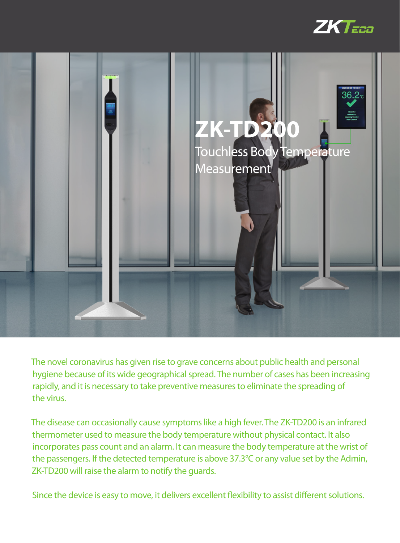



The novel coronavirus has given rise to grave concerns about public health and personal hygiene because of its wide geographical spread. The number of cases has been increasing rapidly, and it is necessary to take preventive measures to eliminate the spreading of the virus.

The disease can occasionally cause symptoms like a high fever. The ZK-TD200 is an infrared thermometer used to measure the body temperature without physical contact. It also incorporates pass count and an alarm. It can measure the body temperature at the wrist of the passengers. If the detected temperature is above 37.3°C or any value set by the Admin, ZK-TD200 will raise the alarm to notify the guards.

Since the device is easy to move, it delivers excellent flexibility to assist different solutions.